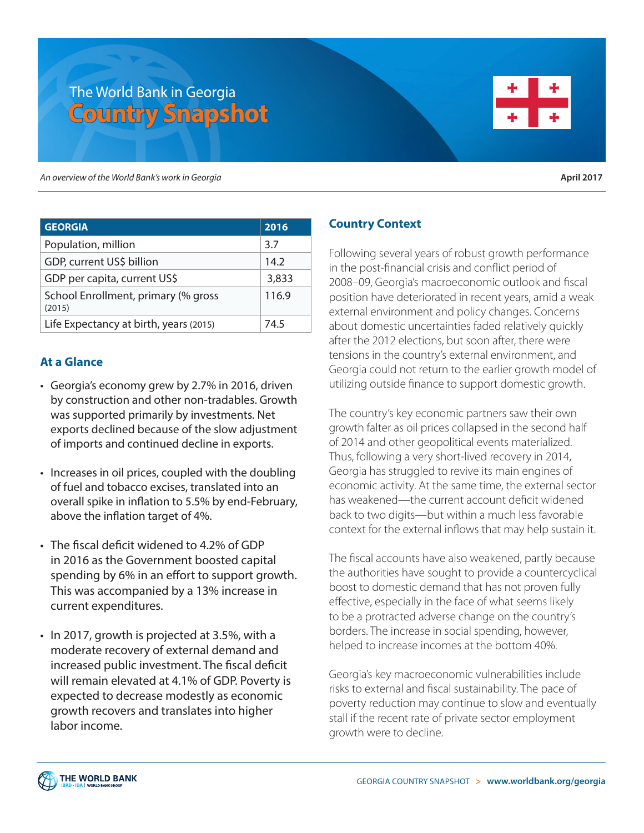# The World Bank in Georgia **Country Snapshot**



*An overview of the World Bank's work in Georgia* **April 2017**

| <b>GEORGIA</b>                                | 2016  |
|-----------------------------------------------|-------|
| Population, million                           | 3.7   |
| GDP, current US\$ billion                     | 14.2  |
| GDP per capita, current US\$                  | 3,833 |
| School Enrollment, primary (% gross<br>(2015) | 116.9 |
| Life Expectancy at birth, years (2015)        | 74.5  |

## **At a Glance**

- Georgia's economy grew by 2.7% in 2016, driven by construction and other non-tradables. Growth was supported primarily by investments. Net exports declined because of the slow adjustment of imports and continued decline in exports.
- Increases in oil prices, coupled with the doubling of fuel and tobacco excises, translated into an overall spike in inflation to 5.5% by end-February, above the inflation target of 4%.
- The fiscal deficit widened to 4.2% of GDP in 2016 as the Government boosted capital spending by 6% in an effort to support growth. This was accompanied by a 13% increase in current expenditures.
- In 2017, growth is projected at 3.5%, with a moderate recovery of external demand and increased public investment. The fiscal deficit will remain elevated at 4.1% of GDP. Poverty is expected to decrease modestly as economic growth recovers and translates into higher labor income.

## **Country Context**

Following several years of robust growth performance in the post-financial crisis and conflict period of 2008–09, Georgia's macroeconomic outlook and fiscal position have deteriorated in recent years, amid a weak external environment and policy changes. Concerns about domestic uncertainties faded relatively quickly after the 2012 elections, but soon after, there were tensions in the country's external environment, and Georgia could not return to the earlier growth model of utilizing outside finance to support domestic growth.

The country's key economic partners saw their own growth falter as oil prices collapsed in the second half of 2014 and other geopolitical events materialized. Thus, following a very short-lived recovery in 2014, Georgia has struggled to revive its main engines of economic activity. At the same time, the external sector has weakened—the current account deficit widened back to two digits—but within a much less favorable context for the external inflows that may help sustain it.

The fiscal accounts have also weakened, partly because the authorities have sought to provide a countercyclical boost to domestic demand that has not proven fully effective, especially in the face of what seems likely to be a protracted adverse change on the country's borders. The increase in social spending, however, helped to increase incomes at the bottom 40%.

Georgia's key macroeconomic vulnerabilities include risks to external and fiscal sustainability. The pace of poverty reduction may continue to slow and eventually stall if the recent rate of private sector employment growth were to decline.

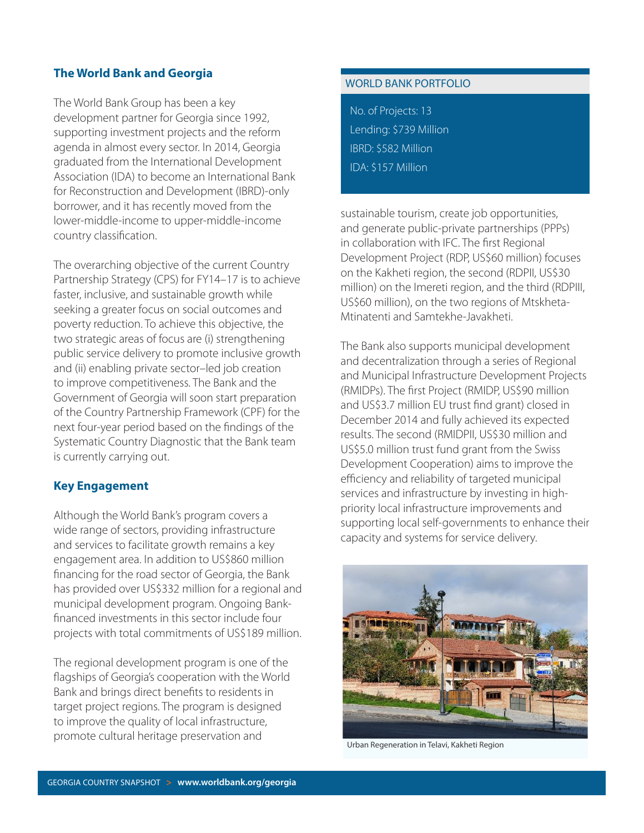## **The World Bank and Georgia**

The World Bank Group has been a key development partner for Georgia since 1992, supporting investment projects and the reform agenda in almost every sector. In 2014, Georgia graduated from the International Development Association (IDA) to become an International Bank for Reconstruction and Development (IBRD)-only borrower, and it has recently moved from the lower-middle-income to upper-middle-income country classification.

The overarching objective of the current Country Partnership Strategy (CPS) for FY14–17 is to achieve faster, inclusive, and sustainable growth while seeking a greater focus on social outcomes and poverty reduction. To achieve this objective, the two strategic areas of focus are (i) strengthening public service delivery to promote inclusive growth and (ii) enabling private sector–led job creation to improve competitiveness. The Bank and the Government of Georgia will soon start preparation of the Country Partnership Framework (CPF) for the next four-year period based on the findings of the Systematic Country Diagnostic that the Bank team is currently carrying out.

## **Key Engagement**

Although the World Bank's program covers a wide range of sectors, providing infrastructure and services to facilitate growth remains a key engagement area. In addition to US\$860 million financing for the road sector of Georgia, the Bank has provided over US\$332 million for a regional and municipal development program. Ongoing Bankfinanced investments in this sector include four projects with total commitments of US\$189 million.

The regional development program is one of the flagships of Georgia's cooperation with the World Bank and brings direct benefits to residents in target project regions. The program is designed to improve the quality of local infrastructure, promote cultural heritage preservation and

#### WORLD BANK PORTFOLIO

No. of Projects: 13 Lending: \$739 Million IBRD: \$582 Million IDA: \$157 Million

sustainable tourism, create job opportunities, and generate public-private partnerships (PPPs) in collaboration with IFC. The first Regional Development Project (RDP, US\$60 million) focuses on the Kakheti region, the second (RDPII, US\$30 million) on the Imereti region, and the third (RDPIII, US\$60 million), on the two regions of Mtskheta-Mtinatenti and Samtekhe-Javakheti.

The Bank also supports municipal development and decentralization through a series of Regional and Municipal Infrastructure Development Projects (RMIDPs). The first Project (RMIDP, US\$90 million and US\$3.7 million EU trust find grant) closed in December 2014 and fully achieved its expected results. The second (RMIDPII, US\$30 million and US\$5.0 million trust fund grant from the Swiss Development Cooperation) aims to improve the efficiency and reliability of targeted municipal services and infrastructure by investing in highpriority local infrastructure improvements and supporting local self-governments to enhance their capacity and systems for service delivery.



Urban Regeneration in Telavi, Kakheti Region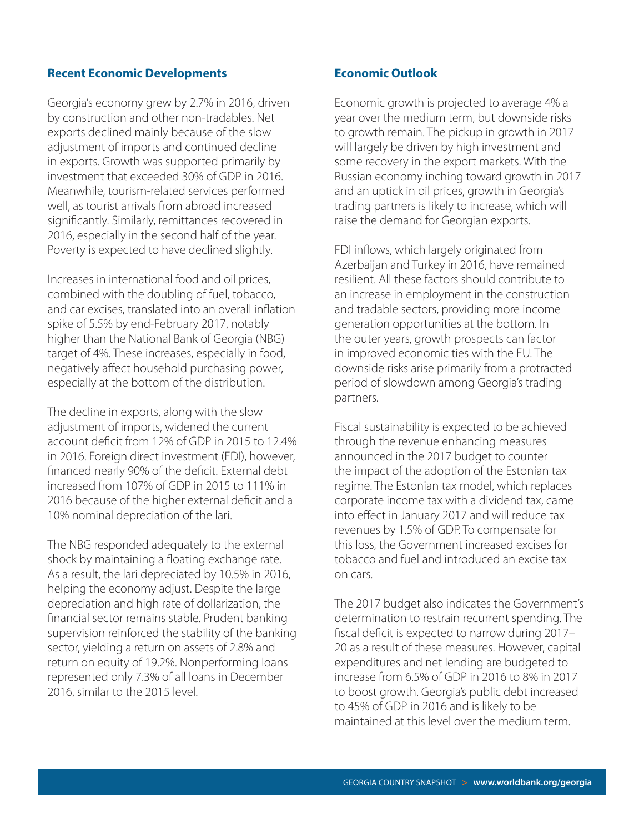#### **Recent Economic Developments**

Georgia's economy grew by 2.7% in 2016, driven by construction and other non-tradables. Net exports declined mainly because of the slow adjustment of imports and continued decline in exports. Growth was supported primarily by investment that exceeded 30% of GDP in 2016. Meanwhile, tourism-related services performed well, as tourist arrivals from abroad increased significantly. Similarly, remittances recovered in 2016, especially in the second half of the year. Poverty is expected to have declined slightly.

Increases in international food and oil prices, combined with the doubling of fuel, tobacco, and car excises, translated into an overall inflation spike of 5.5% by end-February 2017, notably higher than the National Bank of Georgia (NBG) target of 4%. These increases, especially in food, negatively affect household purchasing power, especially at the bottom of the distribution.

The decline in exports, along with the slow adjustment of imports, widened the current account deficit from 12% of GDP in 2015 to 12.4% in 2016. Foreign direct investment (FDI), however, financed nearly 90% of the deficit. External debt increased from 107% of GDP in 2015 to 111% in 2016 because of the higher external deficit and a 10% nominal depreciation of the lari.

The NBG responded adequately to the external shock by maintaining a floating exchange rate. As a result, the lari depreciated by 10.5% in 2016, helping the economy adjust. Despite the large depreciation and high rate of dollarization, the financial sector remains stable. Prudent banking supervision reinforced the stability of the banking sector, yielding a return on assets of 2.8% and return on equity of 19.2%. Nonperforming loans represented only 7.3% of all loans in December 2016, similar to the 2015 level.

#### **Economic Outlook**

Economic growth is projected to average 4% a year over the medium term, but downside risks to growth remain. The pickup in growth in 2017 will largely be driven by high investment and some recovery in the export markets. With the Russian economy inching toward growth in 2017 and an uptick in oil prices, growth in Georgia's trading partners is likely to increase, which will raise the demand for Georgian exports.

FDI inflows, which largely originated from Azerbaijan and Turkey in 2016, have remained resilient. All these factors should contribute to an increase in employment in the construction and tradable sectors, providing more income generation opportunities at the bottom. In the outer years, growth prospects can factor in improved economic ties with the EU. The downside risks arise primarily from a protracted period of slowdown among Georgia's trading partners.

Fiscal sustainability is expected to be achieved through the revenue enhancing measures announced in the 2017 budget to counter the impact of the adoption of the Estonian tax regime. The Estonian tax model, which replaces corporate income tax with a dividend tax, came into effect in January 2017 and will reduce tax revenues by 1.5% of GDP. To compensate for this loss, the Government increased excises for tobacco and fuel and introduced an excise tax on cars.

The 2017 budget also indicates the Government's determination to restrain recurrent spending. The fiscal deficit is expected to narrow during 2017– 20 as a result of these measures. However, capital expenditures and net lending are budgeted to increase from 6.5% of GDP in 2016 to 8% in 2017 to boost growth. Georgia's public debt increased to 45% of GDP in 2016 and is likely to be maintained at this level over the medium term.